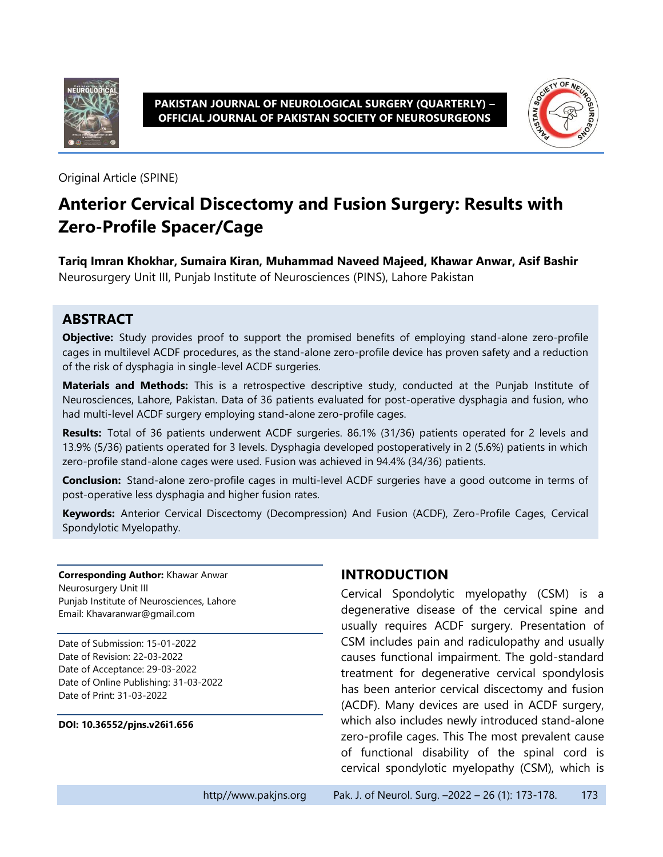

#### **PAKISTAN JOURNAL OF NEUROLOGICAL SURGERY (QUARTERLY) – OFFICIAL JOURNAL OF PAKISTAN SOCIETY OF NEUROSURGEONS**



Original Article (SPINE)

# **Anterior Cervical Discectomy and Fusion Surgery: Results with Zero-Profile Spacer/Cage**

**Tariq Imran Khokhar, Sumaira Kiran, Muhammad Naveed Majeed, Khawar Anwar, Asif Bashir** Neurosurgery Unit III, Punjab Institute of Neurosciences (PINS), Lahore Pakistan

### **ABSTRACT**

**Objective:** Study provides proof to support the promised benefits of employing stand-alone zero-profile cages in multilevel ACDF procedures, as the stand-alone zero-profile device has proven safety and a reduction of the risk of dysphagia in single-level ACDF surgeries.

**Materials and Methods:** This is a retrospective descriptive study, conducted at the Punjab Institute of Neurosciences, Lahore, Pakistan. Data of 36 patients evaluated for post-operative dysphagia and fusion, who had multi-level ACDF surgery employing stand-alone zero-profile cages.

**Results:** Total of 36 patients underwent ACDF surgeries. 86.1% (31/36) patients operated for 2 levels and 13.9% (5/36) patients operated for 3 levels. Dysphagia developed postoperatively in 2 (5.6%) patients in which zero-profile stand-alone cages were used. Fusion was achieved in 94.4% (34/36) patients.

**Conclusion:** Stand-alone zero-profile cages in multi-level ACDF surgeries have a good outcome in terms of post-operative less dysphagia and higher fusion rates.

**Keywords:** Anterior Cervical Discectomy (Decompression) And Fusion (ACDF), Zero-Profile Cages, Cervical Spondylotic Myelopathy.

**Corresponding Author:** Khawar Anwar Neurosurgery Unit III Punjab Institute of Neurosciences, Lahore Email: Khavaranwar@gmail.com

Date of Submission: 15-01-2022 Date of Revision: 22-03-2022 Date of Acceptance: 29-03-2022 Date of Online Publishing: 31-03-2022 Date of Print: 31-03-2022

#### **DOI: 10.36552/pjns.v26i1.656**

### **INTRODUCTION**

Cervical Spondolytic myelopathy (CSM) is a degenerative disease of the cervical spine and usually requires ACDF surgery. Presentation of CSM includes pain and radiculopathy and usually causes functional impairment. The gold-standard treatment for degenerative cervical spondylosis has been anterior cervical discectomy and fusion (ACDF). Many devices are used in ACDF surgery, which also includes newly introduced stand-alone zero-profile cages. This The most prevalent cause of functional disability of the spinal cord is cervical spondylotic myelopathy (CSM), which is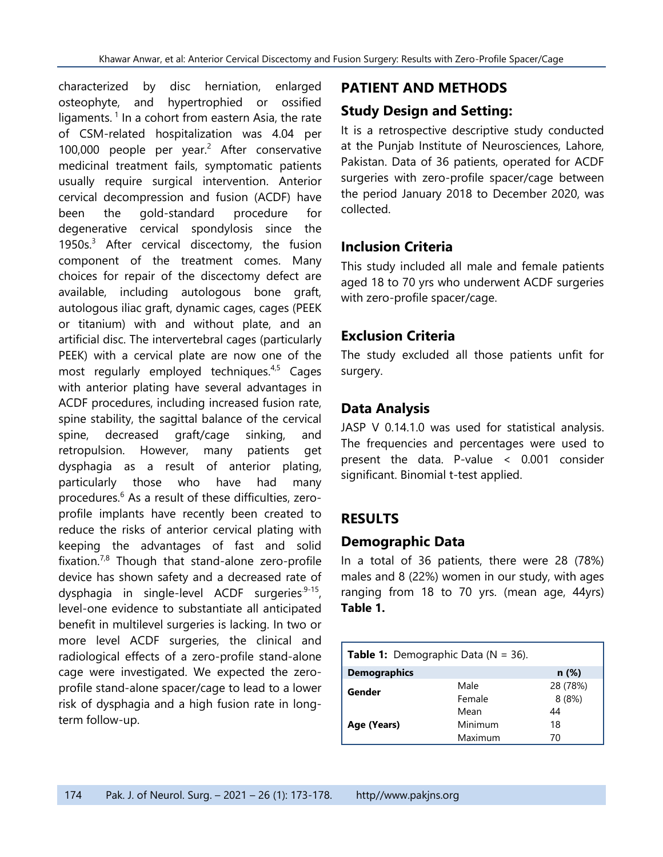characterized by disc herniation, enlarged osteophyte, and hypertrophied or ossified ligaments.<sup>1</sup> In a cohort from eastern Asia, the rate of CSM-related hospitalization was 4.04 per 100,000 people per year.<sup>2</sup> After conservative medicinal treatment fails, symptomatic patients usually require surgical intervention. Anterior cervical decompression and fusion (ACDF) have been the gold-standard procedure for degenerative cervical spondylosis since the 1950s. $3$  After cervical discectomy, the fusion component of the treatment comes. Many choices for repair of the discectomy defect are available, including autologous bone graft, autologous iliac graft, dynamic cages, cages (PEEK or titanium) with and without plate, and an artificial disc. The intervertebral cages (particularly PEEK) with a cervical plate are now one of the most regularly employed techniques.<sup>4,5</sup> Cages with anterior plating have several advantages in ACDF procedures, including increased fusion rate, spine stability, the sagittal balance of the cervical spine, decreased graft/cage sinking, and retropulsion. However, many patients get dysphagia as a result of anterior plating, particularly those who have had many procedures.<sup>6</sup> As a result of these difficulties, zeroprofile implants have recently been created to reduce the risks of anterior cervical plating with keeping the advantages of fast and solid fixation.<sup>7,8</sup> Though that stand-alone zero-profile device has shown safety and a decreased rate of dysphagia in single-level ACDF surgeries<sup>.9-15</sup>, level-one evidence to substantiate all anticipated benefit in multilevel surgeries is lacking. In two or more level ACDF surgeries, the clinical and radiological effects of a zero-profile stand-alone cage were investigated. We expected the zeroprofile stand-alone spacer/cage to lead to a lower risk of dysphagia and a high fusion rate in longterm follow-up.

### **PATIENT AND METHODS**

## **Study Design and Setting:**

It is a retrospective descriptive study conducted at the Punjab Institute of Neurosciences, Lahore, Pakistan. Data of 36 patients, operated for ACDF surgeries with zero-profile spacer/cage between the period January 2018 to December 2020, was collected.

### **Inclusion Criteria**

This study included all male and female patients aged 18 to 70 yrs who underwent ACDF surgeries with zero-profile spacer/cage.

### **Exclusion Criteria**

The study excluded all those patients unfit for surgery.

## **Data Analysis**

JASP V 0.14.1.0 was used for statistical analysis. The frequencies and percentages were used to present the data. P-value < 0.001 consider significant. Binomial t-test applied.

## **RESULTS**

## **Demographic Data**

In a total of 36 patients, there were 28 (78%) males and 8 (22%) women in our study, with ages ranging from 18 to 70 yrs. (mean age, 44yrs) **Table 1.**

| <b>Table 1:</b> Demographic Data ( $N = 36$ ). |         |          |  |  |  |
|------------------------------------------------|---------|----------|--|--|--|
| <b>Demographics</b>                            | n(%)    |          |  |  |  |
| Gender                                         | Male    | 28 (78%) |  |  |  |
|                                                | Female  | 8(8%)    |  |  |  |
|                                                | Mean    | 44       |  |  |  |
| Age (Years)                                    | Minimum | 18       |  |  |  |
|                                                | Maximum | 70       |  |  |  |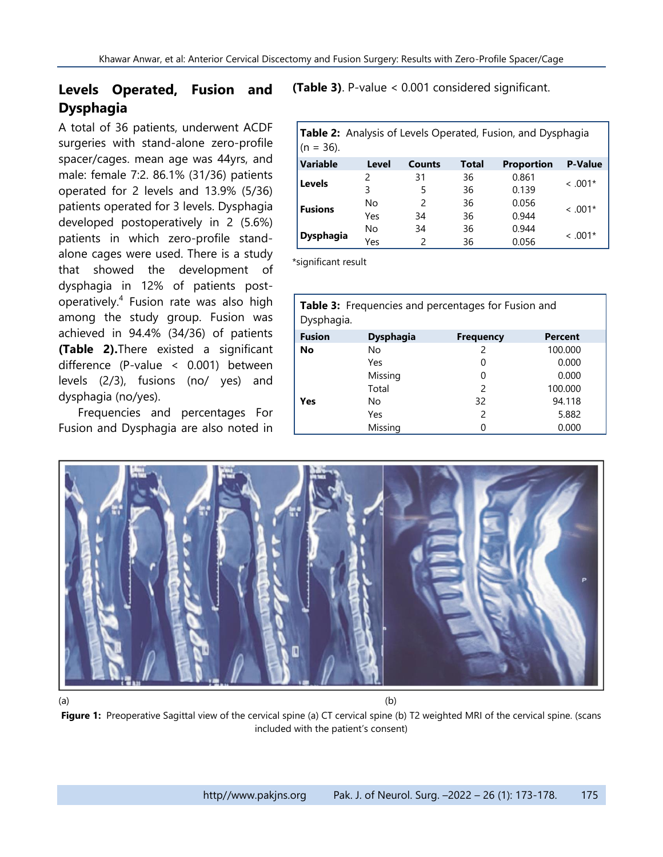## **Levels Operated, Fusion and Dysphagia**

A total of 36 patients, underwent ACDF surgeries with stand-alone zero-profile spacer/cages. mean age was 44yrs, and male: female 7:2. 86.1% (31/36) patients operated for 2 levels and 13.9% (5/36) patients operated for 3 levels. Dysphagia developed postoperatively in 2 (5.6%) patients in which zero-profile standalone cages were used. There is a study that showed the development of dysphagia in 12% of patients postoperatively.<sup>4</sup> Fusion rate was also high among the study group. Fusion was achieved in 94.4% (34/36) of patients **(Table 2).**There existed a significant difference (P-value < 0.001) between levels (2/3), fusions (no/ yes) and dysphagia (no/yes).

Frequencies and percentages For Fusion and Dysphagia are also noted in

**(Table 3)**. P-value < 0.001 considered significant.

| <b>Table 2:</b> Analysis of Levels Operated, Fusion, and Dysphagia<br>$(n = 36)$ . |       |               |       |                   |                |  |
|------------------------------------------------------------------------------------|-------|---------------|-------|-------------------|----------------|--|
| <b>Variable</b>                                                                    | Level | <b>Counts</b> | Total | <b>Proportion</b> | <b>P-Value</b> |  |
| <b>Levels</b>                                                                      | 2     | 31            | 36    | 0.861             | $< .001*$      |  |
|                                                                                    | 3     | 5             | 36    | 0.139             |                |  |
| <b>Fusions</b>                                                                     | No    | $\mathcal{P}$ | 36    | 0.056             | $~<$ .001*     |  |
|                                                                                    | Yes   | 34            | 36    | 0.944             |                |  |
|                                                                                    | No    | 34            | 36    | 0.944             | $~<$ .001*     |  |
| <b>Dysphagia</b>                                                                   | Yes   |               | 36    | 0.056             |                |  |

\*significant result

| <b>Table 3:</b> Frequencies and percentages for Fusion and<br>Dysphagia. |                  |                  |         |  |  |
|--------------------------------------------------------------------------|------------------|------------------|---------|--|--|
| <b>Fusion</b>                                                            | <b>Dysphagia</b> | <b>Frequency</b> | Percent |  |  |
| No                                                                       | No               | 2                | 100.000 |  |  |
|                                                                          | Yes              | 0                | 0.000   |  |  |
|                                                                          | Missing          | 0                | 0.000   |  |  |
|                                                                          | Total            | $\mathcal{P}$    | 100.000 |  |  |
| Yes                                                                      | No               | 32               | 94.118  |  |  |
|                                                                          | Yes              | $\mathcal{P}$    | 5.882   |  |  |
|                                                                          | Missing          |                  | 0.000   |  |  |



 $(a)$  (b)

**Figure 1:** Preoperative Sagittal view of the cervical spine (a) CT cervical spine (b) T2 weighted MRI of the cervical spine. (scans included with the patient's consent)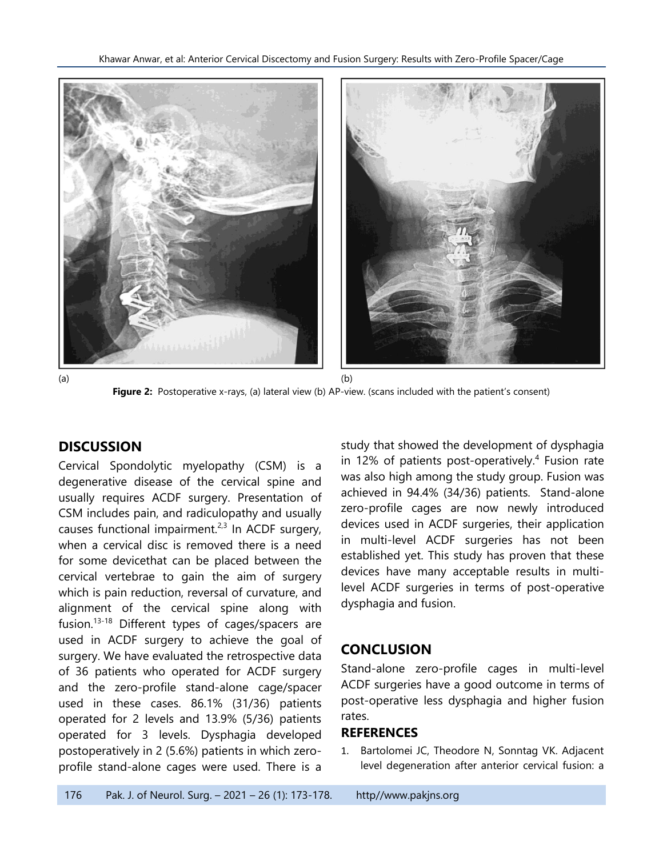

**Figure 2:** Postoperative x-rays, (a) lateral view (b) AP-view. (scans included with the patient's consent)

#### **DISCUSSION**

Cervical Spondolytic myelopathy (CSM) is a degenerative disease of the cervical spine and usually requires ACDF surgery. Presentation of CSM includes pain, and radiculopathy and usually causes functional impairment.<sup>2,3</sup> In ACDF surgery, when a cervical disc is removed there is a need for some devicethat can be placed between the cervical vertebrae to gain the aim of surgery which is pain reduction, reversal of curvature, and alignment of the cervical spine along with fusion.<sup>13-18</sup> Different types of cages/spacers are used in ACDF surgery to achieve the goal of surgery. We have evaluated the retrospective data of 36 patients who operated for ACDF surgery and the zero-profile stand-alone cage/spacer used in these cases. 86.1% (31/36) patients operated for 2 levels and 13.9% (5/36) patients operated for 3 levels. Dysphagia developed postoperatively in 2 (5.6%) patients in which zeroprofile stand-alone cages were used. There is a

study that showed the development of dysphagia in 12% of patients post-operatively.<sup>4</sup> Fusion rate was also high among the study group. Fusion was achieved in 94.4% (34/36) patients. Stand-alone zero-profile cages are now newly introduced devices used in ACDF surgeries, their application in multi-level ACDF surgeries has not been established yet. This study has proven that these devices have many acceptable results in multilevel ACDF surgeries in terms of post-operative dysphagia and fusion.

### **CONCLUSION**

Stand-alone zero-profile cages in multi-level ACDF surgeries have a good outcome in terms of post-operative less dysphagia and higher fusion rates.

#### **REFERENCES**

1. Bartolomei JC, Theodore N, Sonntag VK. Adjacent level degeneration after anterior cervical fusion: a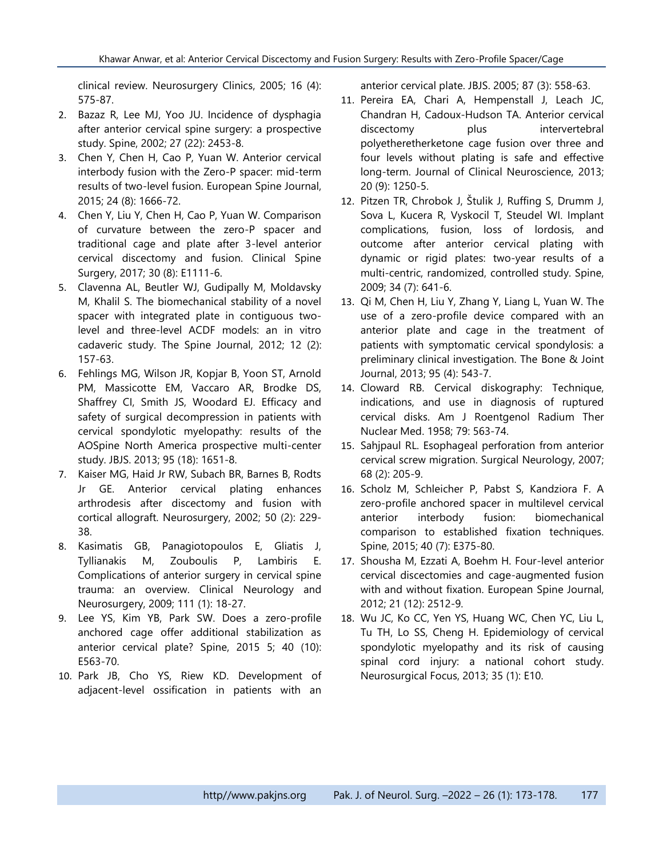clinical review. Neurosurgery Clinics, 2005; 16 (4): 575-87.

- 2. Bazaz R, Lee MJ, Yoo JU. Incidence of dysphagia after anterior cervical spine surgery: a prospective study. Spine, 2002; 27 (22): 2453-8.
- 3. Chen Y, Chen H, Cao P, Yuan W. Anterior cervical interbody fusion with the Zero-P spacer: mid-term results of two-level fusion. European Spine Journal, 2015; 24 (8): 1666-72.
- 4. Chen Y, Liu Y, Chen H, Cao P, Yuan W. Comparison of curvature between the zero-P spacer and traditional cage and plate after 3-level anterior cervical discectomy and fusion. Clinical Spine Surgery, 2017; 30 (8): E1111-6.
- 5. Clavenna AL, Beutler WJ, Gudipally M, Moldavsky M, Khalil S. The biomechanical stability of a novel spacer with integrated plate in contiguous twolevel and three-level ACDF models: an in vitro cadaveric study. The Spine Journal, 2012; 12 (2): 157-63.
- 6. Fehlings MG, Wilson JR, Kopjar B, Yoon ST, Arnold PM, Massicotte EM, Vaccaro AR, Brodke DS, Shaffrey CI, Smith JS, Woodard EJ. Efficacy and safety of surgical decompression in patients with cervical spondylotic myelopathy: results of the AOSpine North America prospective multi-center study. JBJS. 2013; 95 (18): 1651-8.
- 7. Kaiser MG, Haid Jr RW, Subach BR, Barnes B, Rodts Jr GE. Anterior cervical plating enhances arthrodesis after discectomy and fusion with cortical allograft. Neurosurgery, 2002; 50 (2): 229- 38.
- 8. Kasimatis GB, Panagiotopoulos E, Gliatis J, Tyllianakis M, Zouboulis P, Lambiris E. Complications of anterior surgery in cervical spine trauma: an overview. Clinical Neurology and Neurosurgery, 2009; 111 (1): 18-27.
- 9. Lee YS, Kim YB, Park SW. Does a zero-profile anchored cage offer additional stabilization as anterior cervical plate? Spine, 2015 5; 40 (10): E563-70.
- 10. Park JB, Cho YS, Riew KD. Development of adjacent-level ossification in patients with an

anterior cervical plate. JBJS. 2005; 87 (3): 558-63.

- 11. Pereira EA, Chari A, Hempenstall J, Leach JC, Chandran H, Cadoux-Hudson TA. Anterior cervical discectomy plus intervertebral polyetheretherketone cage fusion over three and four levels without plating is safe and effective long-term. Journal of Clinical Neuroscience, 2013; 20 (9): 1250-5.
- 12. Pitzen TR, Chrobok J, Štulik J, Ruffing S, Drumm J, Sova L, Kucera R, Vyskocil T, Steudel WI. Implant complications, fusion, loss of lordosis, and outcome after anterior cervical plating with dynamic or rigid plates: two-year results of a multi-centric, randomized, controlled study. Spine, 2009; 34 (7): 641-6.
- 13. Qi M, Chen H, Liu Y, Zhang Y, Liang L, Yuan W. The use of a zero-profile device compared with an anterior plate and cage in the treatment of patients with symptomatic cervical spondylosis: a preliminary clinical investigation. The Bone & Joint Journal, 2013; 95 (4): 543-7.
- 14. Cloward RB. Cervical diskography: Technique, indications, and use in diagnosis of ruptured cervical disks. Am J Roentgenol Radium Ther Nuclear Med. 1958; 79: 563-74.
- 15. Sahjpaul RL. Esophageal perforation from anterior cervical screw migration. Surgical Neurology, 2007; 68 (2): 205-9.
- 16. Scholz M, Schleicher P, Pabst S, Kandziora F. A zero-profile anchored spacer in multilevel cervical anterior interbody fusion: biomechanical comparison to established fixation techniques. Spine, 2015; 40 (7): E375-80.
- 17. Shousha M, Ezzati A, Boehm H. Four-level anterior cervical discectomies and cage-augmented fusion with and without fixation. European Spine Journal, 2012; 21 (12): 2512-9.
- 18. Wu JC, Ko CC, Yen YS, Huang WC, Chen YC, Liu L, Tu TH, Lo SS, Cheng H. Epidemiology of cervical spondylotic myelopathy and its risk of causing spinal cord injury: a national cohort study. Neurosurgical Focus, 2013; 35 (1): E10.